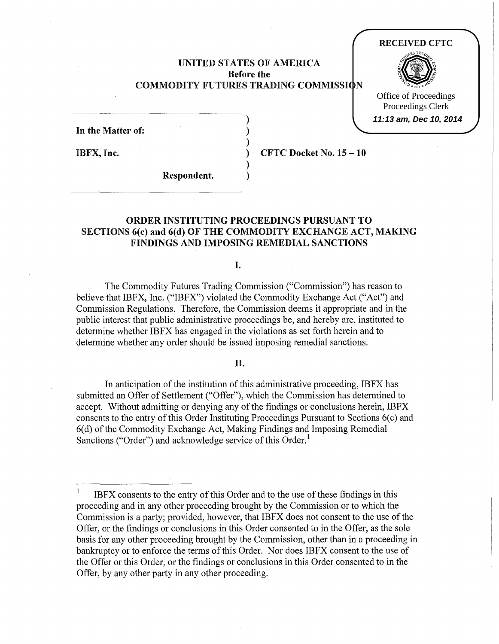# UNITED STATES OF AMERICA Before the COMMODITY FUTURES TRADING COMMISSION

) ) )

) )

#### **RECEIVED CFTC**



Office of Proceedings Proceedings Clerk **11:13 am, Dec 10, 2014**

| In the Matter of: |  |  |
|-------------------|--|--|
| ٠<br>IBFX, Inc.   |  |  |

) CFTC Docket No.15 -10

Respondent.

# ORDER INSTITUTING PROCEEDINGS PURSUANT TO SECTIONS 6(c) and 6(d) OF THE COMMODITY EXCHANGE ACT, MAKING FINDINGS AND IMPOSING REMEDIAL SANCTIONS

I.

The Commodity Futures Trading Commission ("Commission") has reason to believe that IBFX, Inc. ("IBFX") violated the Commodity Exchange Act ("Act") and Commission Regulations. Therefore, the Commission deems it appropriate and in the public interest that public administrative proceedings be, and hereby are, instituted to determine whether IBFX has engaged in the violations as set forth herein and to determine whether any order should be issued imposing remedial sanctions.

# II.

In anticipation of the institution of this administrative proceeding, IBFX has submitted an Offer of Settlement ("Offer"), which the Commission has determined to accept. Without admitting or denying any of the findings or conclusions herein, IBFX consents to the entry of this Order Instituting Proceedings Pursuant to Sections 6(c) and 6( d) of the Commodity Exchange Act, Making Findings and Imposing Remedial Sanctions ("Order") and acknowledge service of this Order.<sup>1</sup>

 $\,1\,$ IBFX consents to the entry of this Order and to the use of these findings in this proceeding and in any other proceeding brought by the Commission or to which the Commission is a party; provided, however, that IBFX does not consent to the use of the Offer, or the findings or conclusions in this Order consented to in the Offer, as the sole basis for any other proceeding brought by the Commission, other than in a proceeding in bankruptcy or to enforce the terms of this Order. Nor does IBFX consent to the use of the Offer or this Order, or the findings or conclusions in this Order consented to in the Offer, by any other party in any other proceeding.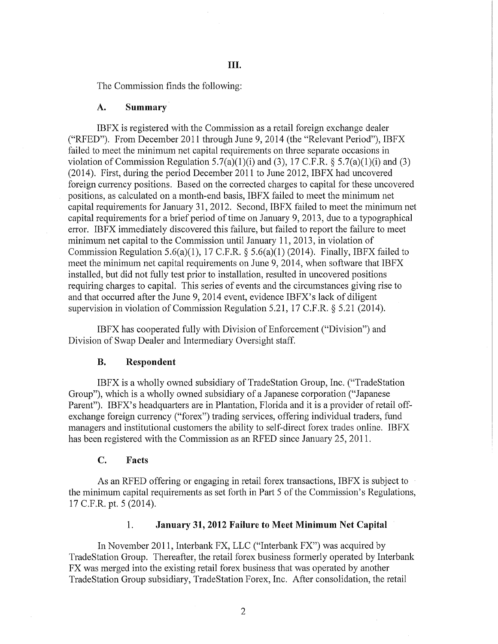The Commission finds the following:

#### **A. Summary.**

IBFX is registered with the Commission as a retail foreign exchange dealer ("RFED"). From December 2011 through June 9, 2014 (the "Relevant Period"), IBFX failed to meet the minimum net capital requirements on three separate occasions in violation of Commission Regulation 5.7(a)(1)(i) and (3), 17 C.F.R. § 5.7(a)(1)(i) and (3) (2014). First, during the period December 2011 to June 2012, IBFX had uncovered foreign currency positions. Based on the corrected charges to capital for these uncovered positions, as calculated on a month-end basis, IBFX failed to meet the minimum net capital requirements for January 31, 2012. Second, IBFX failed to meet the minimum net capital requirements for a brief period of time on January 9, 2013, due to a typographical error. IBFX immediately discovered this failure, but failed to report the failure to meet minimum net capital to the Commission until January 11, 2013, in violation of Commission Regulation 5.6(a)(1), 17 C.F.R. § 5.6(a)(1) (2014). Finally, IBFX failed to meet the minimum net capital requirements on June 9, 2014, when software that IBFX installed, but did not fully test prior to installation, resulted in uncovered positions requiring charges to capital. This series of events and the circumstances giving rise to and that occurred after the June 9, 2014 event, evidence IBFX's lack of diligent supervision in violation of Commission Regulation 5.21, 17 C.F.R. § 5.21 (2014).

IBFX has cooperated fully with Division of Enforcement ("Division") and Division of Swap Dealer and Intermediary Oversight staff.

#### **B. Respondent**

IBFX is a wholly owned subsidiary of TradeStation Group, Inc. ("TradeStation Group"), which is a wholly owned subsidiary of a Japanese corporation ("Japanese Parent"). IBFX's headquarters are in Plantation, Florida and it is a provider of retail offexchange foreign currency ("forex") trading services, offering individual traders, fund managers and institutional customers the ability to self-direct forex trades online. IBFX has been registered with the Commission as an RFED since January 25, 2011.

### **C. Facts**

As an RFED offering or engaging in retail forex transactions, IBFX is subject to the minimum capital requirements as set forth in Part 5 of the Commission's Regulations, 17 C.P.R. pt. 5 (2014).

## 1. **January 31, 2012 Failure to Meet Minimum Net Capital**

In November 2011, Interbank FX, LLC ("Interbank FX") was acquired by TradeStation Group. Thereafter, the retail forex business formerly operated by Interbank FX was merged into the existing retail forex business that was operated by another TradeStation Group subsidiary, TradeStation Forex, Inc. After consolidation, the retail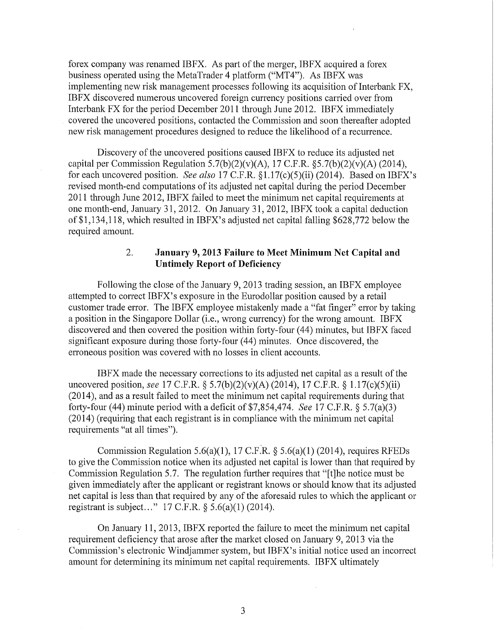forex company was renamed IBFX. As part of the merger, IBFX acquired a forex business operated using the MetaTrader 4 platform ("MT4"). As IBFX was implementing new risk management processes following its acquisition of Interbank FX, IBFX discovered numerous uncovered foreign currency positions carried over from Interbank FX for the period December 2011 through June 2012. IBFX immediately covered the uncovered positions, contacted the Commission and soon thereafter adopted new risk management procedures designed to reduce the likelihood of a recurrence.

Discovery of the uncovered positions caused IBFX to reduce its adjusted net capital per Commission Regulation  $5.7(b)(2)(v)(A)$ , 17 C.F.R. §5.7(b)(2)(v)(A) (2014), for each uncovered position. *See also* 17 C.F.R. §1.17(c)(5)(ii) (2014). Based on IBFX's revised month-end computations of its adjusted net capital during the period December 2011 through June 2012, IBFX failed to meet the minimum net capital requirements at one month-end, January 31, 2012. On January 31, 2012, IBFX took a capital deduction of\$1,134,118, which resulted in IBFX's adjusted net capital falling \$628,772 below the required amount.

# 2. **January 9, 2013 Failure to Meet Minimum Net Capital and Untimely Report of Deficiency**

Following the close of the January 9, 2013 trading session, an IBFX employee attempted to correct IBFX's exposure in the Eurodollar position caused by a retail customer trade error. The IBFX employee mistakenly made a "fat finger" error by taking a position in the Singapore Dollar (i.e., wrong currency) for the wrong amount. IBFX discovered and then covered the position within forty-four (44) minutes, but IBFX faced significant exposure during those forty-four (44) minutes. Once discovered, the erroneous position was covered with no losses in client accounts.

IBFX made the necessary corrections to its adjusted net capital as a result of the uncovered position, *see* 17 C.F.R. § 5.7(b)(2)(v)(A) (2014), 17 C.F.R. § 1.17(c)(5)(ii) (2014), and as a result failed to meet the minimum net capital requirements during that forty-four (44) minute period with a deficit of  $$7,854,474$ . *See* 17 C.F.R. § 5.7(a)(3) (2014) (requiring that each registrant is in compliance with the minimum net capital requirements "at all times").

Commission Regulation 5.6(a)(1), 17 C.F.R. § 5.6(a)(1) (2014), requires RFEDs to give the Commission notice when its adjusted net capital is lower than that required by Commission Regulation 5.7. The regulation further requires that "[t]he notice must be given immediately after the applicant or registrant knows or should know that its adjusted net capital is less than that required by any of the aforesaid rules to which the applicant or registrant is subject..." 17 C.F.R.  $\S 5.6(a)(1)$  (2014).

On January 11, 2013, IBFX reported the failure to meet the minimum net capital requirement deficiency that arose after the market closed on January 9, 2013 via the Commission's electronic Windjammer system, but IBFX's initial notice used an incorrect amount for determining its minimum net capital requirements. IBFX ultimately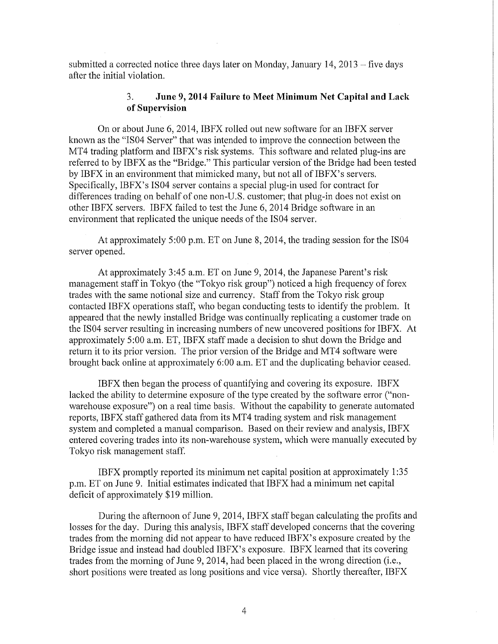submitted a corrected notice three days later on Monday, January  $14$ ,  $2013$  – five days after the initial violation.

# 3. **June 9, 2014 Failure to Meet Minimum** Net **Capital and Lack of Supervision**

On or about June 6, 2014, IBFX rolled out new software for an IBFX server known as the "IS04 Server" that was intended to improve the connection between the MT4 trading platform and IBFX's risk systems. This software and related plug-ins are referred to by IBFX as the "Bridge." This particular version of the Bridge had been tested by IBFX in an environment that mimicked many, but not all of IBFX's servers. Specifically, IBFX's IS04 server contains a special plug-in used for contract for differences trading on behalf of one non-U.S. customer; that plug-in does not exist on other IBFX servers. IBFX failed to test the June 6, 2014 Bridge software in an environment that replicated the unique needs of the IS04 server.

At approximately 5:00 p.m. ET on June 8, 2014, the trading session for the IS04 server opened.

At approximately 3:45a.m. ET on June 9, 2014, the Japanese Parent's risk management staff in Tokyo (the "Tokyo risk group") noticed a high frequency of forex trades with the same notional size and currency. Staff from the Tokyo risk group contacted IBFX operations staff, who began conducting tests to identify the problem. It appeared that the newly installed Bridge was continually replicating a customer trade on the IS04 server resulting in increasing numbers of new uncovered positions for IBFX. At approximately 5:00a.m. ET, IBFX staff made a decision to shut down the Bridge and return it to its prior version. The prior version of the Bridge and MT4 software were brought back online at approximately 6:00 a.m. ET and the duplicating behavior ceased.

IBFX then began the process of quantifying and covering its exposure. IBFX lacked the ability to determine exposure of the type created by the software error ("nonwarehouse exposure") on a real time basis. Without the capability to generate automated reports, IBFX staff gathered data from its MT4 trading system and risk management system and completed a manual comparison. Based on their review and analysis, IBFX entered covering trades into its non-warehouse system, which were manually executed by Tokyo risk management staff.

IBFX promptly reported its minimum net capital position at approximately 1:35 p.m. ET on June 9. Initial estimates indicated that IBFX had a minimum net capital deficit of approximately \$19 million.

During the afternoon of June 9, 2014, IBFX staff began calculating the profits and losses for the day. During this analysis, IBFX staff developed concerns that the covering trades from the morning did not appear to have reduced IBFX's exposure created by the Bridge issue and instead had doubled IBFX's exposure. IBFX learned that its covering trades from the morning of June 9, 2014, had been placed in the wrong direction (i.e., short positions were treated as long positions and vice versa). Shortly thereafter, IBFX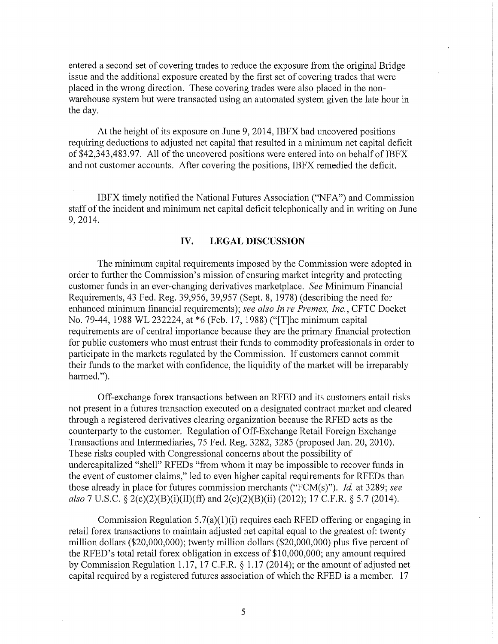entered a second set of covering trades to reduce the exposure from the original Bridge issue and the additional exposure created by the first set of covering trades that were placed in the wrong direction. These covering trades were also placed in the nonwarehouse system but were transacted using an automated system given the late hour in the day.

At the height of its exposure on June 9, 2014, IBFX had uncovered positions requiring deductions to adjusted net capital that resulted in a minimum net capital deficit of \$42,343,483.97. All of the uncovered positions were entered into on behalf of IBFX and not customer accounts. After covering the positions, IBFX remedied the deficit.

IBFX timely notified the National Futures Association ("NF A") and Commission staff of the incident and minimum net capital deficit telephonically and in writing on June 9, 2014.

# **IV. LEGAL DISCUSSION**

The minimum capital requirements imposed by the Commission were adopted in order to further the Commission's mission of ensuring market integrity and protecting customer funds in an ever-changing derivatives marketplace. *See* Minimum Financial Requirements, 43 Fed. Reg. 39,956, 39,957 (Sept. 8, 1978) (describing the need for enhanced minimum financial requirements); *see also In re Premex, Inc.,* CFTC Docket No. 79-44, 1988 WL 232224, at \*6 (Feb. 17, 1988) ("[T]he minimum capital requirements are of central importance because they are the primary financial protection for public customers who must entrust their funds to commodity professionals in order to participate in the markets regulated by the Commission. If customers cannot commit their funds to the market with confidence, the liquidity of the market will be irreparably harmed.").

Off-exchange forex transactions between an RFED and its customers entail risks not present in a futures transaction executed on a designated contract market and cleared through a registered derivatives clearing organization because the RFED acts as the counterparty to the customer. Regulation of Off-Exchange Retail Foreign Exchange Transactions and Intermediaries, 75 Fed. Reg. 3282, 3285 (proposed Jan. 20, 2010). These risks coupled with Congressional concerns about the possibility of undercapitalized "shell" RFEDs "from whom it may be impossible to recover funds in the event of customer claims," led to even higher capital requirements for RFEDs than those already in place for futures commission merchants ("FCM(s)"). *!d.* at 3289; *see also* 7 U.S.C. § 2(c)(2)(B)(i)(II)(ft) and 2(c)(2)(B)(ii) (2012); 17 C.P.R. § 5.7 (2014).

Commission Regulation  $5.7(a)(1)(i)$  requires each RFED offering or engaging in retail forex transactions to maintain adjusted net capital equal to the greatest of: twenty million dollars (\$20,000,000); twenty million dollars (\$20,000,000) plus five percent of the RFED's total retail forex obligation in excess of  $$10,000,000$ ; any amount required by Commission Regulation 1.17, 17 C.P.R. § 1.17 (2014); or the amount of adjusted net capital required by a registered futures association of which the RFED is a member. 17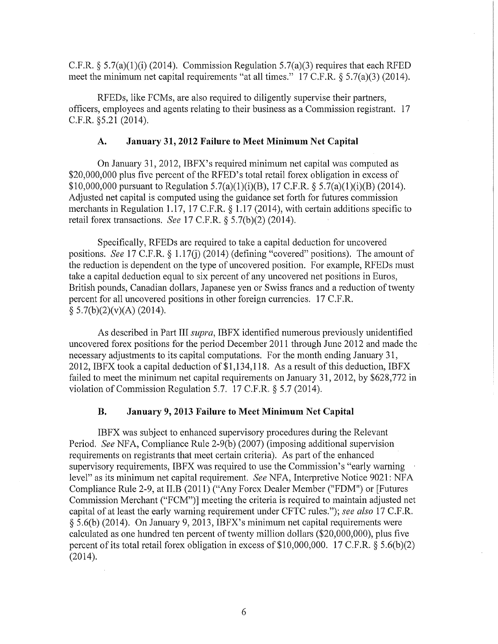C.F.R. § 5.7(a)(1)(i) (2014). Commission Regulation 5.7(a)(3) requires that each RFED meet the minimum net capital requirements "at all times." 17 C.F.R. § 5.7(a)(3) (2014).

RFEDs, like FCMs, are also required to diligently supervise their partners, officers, employees and agents relating to their business as a Commission registrant. 17 C.F.R. §5.21 (2014).

### A. January 31,2012 Failure to Meet Minimum Net Capital

On January 31, 2012, IBFX's required minimum net capital was computed as \$20,000,000 plus five percent of the RFED's total retail forex obligation in excess of \$10,000,000 pursuant to Regulation 5.7(a)(1)(i)(B), 17 C.F.R. § 5.7(a)(1)(i)(B) (2014). Adjusted net capital is computed using the guidance set forth for futures commission merchants in Regulation 1.17, 17 C.F.R. § 1.17 (2014), with certain additions specific to retail forex transactions. *See* 17 C.F.R. § 5.7(b)(2) (2014).

Specifically, RFEDs are required to take a capital deduction for uncovered positions. *See* 17 C.F.R. § 1.17(j) (2014) (defining "covered" positions). The amount of the reduction is dependent on the type of uncovered position. For example, RFEDs must take a capital deduction equal to six percent of any uncovered net positions in Euros, British pounds, Canadian dollars, Japanese yen or Swiss francs and a reduction of twenty percent for all uncovered positions in other foreign currencies. 17 C.F .R.  $§ 5.7(b)(2)(v)(A) (2014).$ 

As described in Part III *supra,* IBFX identified numerous previously unidentified uncovered forex positions for the period December 2011 through June 2012 and made the necessary adjustments to its capital computations. For the month ending January 31, 2012, IBFX took a capital deduction of \$1,134,118. As a result of this deduction, IBFX failed to meet the minimum net capital requirements on January 31, 2012, by \$628,772 in violation of Commission Regulation 5.7. 17 C.F.R. § 5.7 (2014).

## B. January 9, 2013 Failure to Meet Minimum Net Capital

IBFX was subject to enhanced supervisory procedures during the Relevant Period. *See* NFA, Compliance Rule 2-9(b) (2007) (imposing additional supervision requirements on registrants that meet certain criteria). As part of the enhanced supervisory requirements, IBFX was required to use the Commission's "early warning level" as its minimum net capital requirement. *See* NFA, Interpretive Notice 9021: NFA Compliance Rule 2-9, at II.B (2011) ("Any Forex Dealer Member ("FDM") or [Futures Commission Merchant ("FCM")] meeting the criteria is required to maintain adjusted net capital of at least the early warning requirement under CFTC rules."); *see also* 17 C.F.R. § 5.6(b) (2014). On January 9, 2013, IBFX's minimum net capital requirements were calculated as one hundred ten percent of twenty million dollars ( $$20,000,000$ ), plus five percent of its total retail forex obligation in excess of  $$10,000,000$ . 17 C.F.R.  $§ 5.6(b)(2)$ (2014).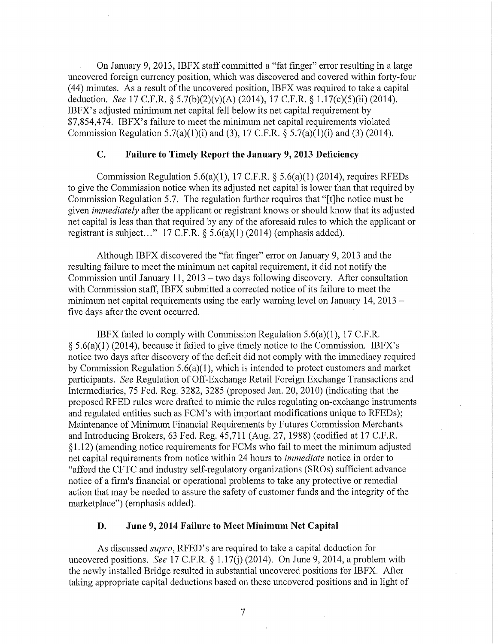On January 9, 2013, IBFX staff committed a "fat finger" error resulting in a large uncovered foreign currency position, which was discovered and covered within forty-four  $(44)$  minutes. As a result of the uncovered position, IBFX was required to take a capital deduction. *See* 17 C.F.R. § 5.7(b)(2)(v)(A) (2014), 17 C.F.R. § 1.17(c)(5)(ii) (2014). IBFX's adjusted minimum net capital fell below its net capital requirement by \$7,854,474. IBFX's failure to meet the minimum net capital requirements violated Commission Regulation 5.7(a)(1)(i) and (3), 17 C.F.R.  $\S$  5.7(a)(1)(i) and (3) (2014).

# **C. Failure to Timely Report the January 9, 2013 Deficiency**

Commission Regulation 5.6(a)(1), 17 C.F.R.  $\S$  5.6(a)(1) (2014), requires RFEDs to give the Commission notice when its adjusted net capital is lower than that required by Commission Regulation 5.7. The regulation further requires that "[t]he notice must be given *immediately* after the applicant or registrant knows or should know that its adjusted net capital is less than that required by any of the aforesaid rules to which the applicant or registrant is subject..."  $17 \text{ C.F.R.}$  §  $5.6(a)(1)(2014)$  (emphasis added).

Although IBFX discovered the "fat finger" error on January 9, 2013 and the resulting failure to meet the minimum net capital requirement, it did not notify the Commission until January 11, 2013  $-$  two days following discovery. After consultation with Commission staff, IBFX submitted a corrected notice of its failure to meet the minimum net capital requirements using the early warning level on January 14, 2013 – five days after the event occurred.

IBFX failed to comply with Commission Regulation 5.6(a)(l), 17 C.F.R. § 5.6(a)(l) (2014), because it failed to give timely notice to the Commission. IBFX's notice two days after discovery of the deficit did not comply with the immediacy required by Commission Regulation  $5.6(a)(1)$ , which is intended to protect customers and market participants. *See* Regulation of Off-Exchange Retail Foreign Exchange Transactions and Intermediaries, 75 Fed. Reg. 3282, 3285 (proposed Jan. 20, 2010) (indicating that the proposed RFED rules were drafted to mimic the rules regulating on-exchange instruments and regulated entities such as FCM's with important modifications unique to RFEDs); Maintenance of Minimum Financial Requirements by Futures Commission Merchants and Introducing Brokers, 63 Fed. Reg. 45,711 (Aug. 27, 1988) (codified at 17 C.F.R. § 1.12) (amending notice requirements for FCMs who fail to meet the minimum adjusted net capital requirements from notice within 24 hours to *immediate* notice in order to "afford the CFTC and industry self-regulatory organizations (SROs) sufficient advance notice of a firm's financial or operational problems to take any protective or remedial action that may be needed to assure the safety of customer funds and the integrity of the marketplace") (emphasis added).

# **D. June 9, 2014 Failure to Meet Minimum Net Capital**

As discussed *supra,* RFED's are required to take a capital deduction for uncovered positions. *See* 17 C.F.R. § 1.17(j) (2014). On June 9, 2014, a problem with the newly installed Bridge resulted in substantial uncovered positions for IBFX. After taking appropriate capital deductions based on these uncovered positions and in light of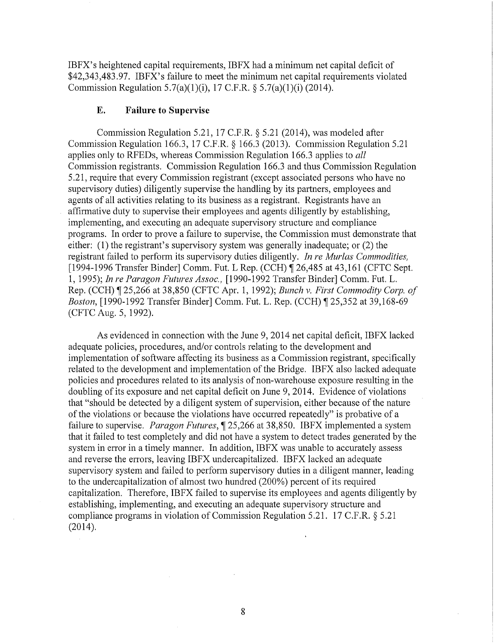IBPX's heightened capital requirements, IBPX had a minimum net capital deficit of \$42,343,483.97. IBPX's failure to meet the minimum net capital requirements violated Commission Regulation 5.7(a)(1)(i), 17 C.P.R. § 5.7(a)(1)(i) (2014).

# **E. Failure to Supervise**

Commission Regulation 5.21, 17 C.P.R. § 5.21 (2014), was modeled after Commission Regulation 166.3, 17 C.P.R.§ 166.3 (2013). Commission Regulation 5.21 applies only to RFEDs, whereas Commission Regulation 166.3 applies to *all*  Commission registrants. Commission Regulation 166.3 and thus Commission Regulation 5.21, require that every Commission registrant (except associated persons who have no supervisory duties) diligently supervise the handling by its partners, employees and agents of all activities relating to its business as a registrant. Registrants have an affirmative duty to supervise their employees and agents diligently by establishing, implementing, and executing an adequate supervisory structure and compliance programs. In order to prove a failure to supervise, the Commission must demonstrate that either: (1) the registrant's supervisory system was generally inadequate; or (2) the registrant failed to perform its supervisory duties diligently. *In re Murlas Commodities,*  [1994-1996 Transfer Binder] Comm. Fut. L Rep. (CCH) ¶ 26,485 at 43,161 (CFTC Sept. 1, 1995); *In re Paragon Futures Assoc.,* [1990-1992 Transfer Binder] Comm. Put. L. Rep. (CCH) ~ 25,266 at 38,850 (CPTC Apr. 1, 1992); *Bunch v. First Commodity Corp. of Boston,* [1990-1992 Transfer Binder] Comm. Fut. L. Rep. (CCH) ¶ 25,352 at 39,168-69 (CPTC Aug. 5, 1992).

As evidenced in connection with the June 9, 2014 net capital deficit, IBPX lacked adequate policies, procedures, and/or controls relating to the development and implementation of software affecting its business as a Commission registrant, specifically related to the development and implementation of the Bridge. IBFX also lacked adequate policies and procedures related to its analysis of non-warehouse exposure resulting in the doubling of its exposure and net capital deficit on June 9, 2014. Evidence of violations that "should be detected by a diligent system of supervision, either because of the nature of the violations or because the violations have occurred repeatedly" is probative of a failure to supervise. *Paragon Futures*, 125,266 at 38,850. IBFX implemented a system that it failed to test completely and did not have a system to detect trades generated by the system in error in a timely manner. In addition, IBPX was unable to accurately assess and reverse the errors, leaving IBPX undercapitalized. IBPX lacked an adequate supervisory system and failed to perform supervisory duties in a diligent manner, leading to the undercapitalization of almost two hundred (200%) percent of its required capitalization. Therefore, IBPX failed to supervise its employees and agents diligently by establishing, implementing, and executing an adequate supervisory structure and compliance programs in violation of Commission Regulation 5.21. 17 C.P.R.§ 5.21 (2014).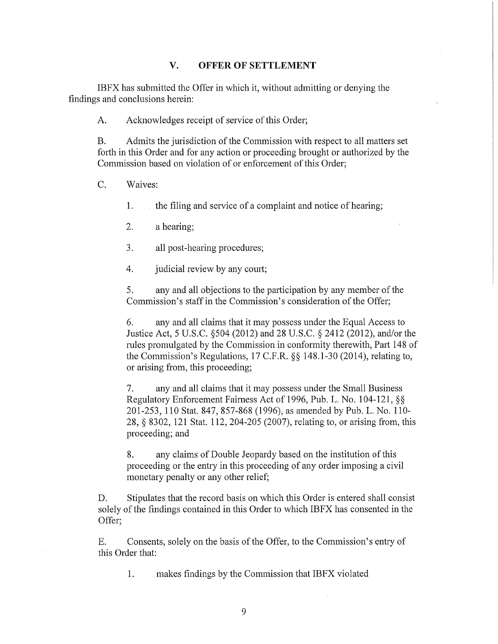### **V. OFFER OF SETTLEMENT**

IBFX has submitted the Offer in which it, without admitting or denying the findings and conclusions herein:

A. Acknowledges receipt of service of this Order;

B. Admits the jurisdiction of the Commission with respect to all matters set forth in this Order and for any action or proceeding brought or authorized by the Commission based on violation of or enforcement of this Order;

C. Waives:

**1.** the filing and service of a complaint and notice of hearing;

2. a hearing;

3. all post-hearing procedures;

4. judicial review by any court;

5. any and all objections to the participation by any member of the Commission's staff in the Commission's consideration of the Offer;

6. any and all claims that it may possess under the Equal Access to Justice Act, 5 U.S.C. §504 (2012) and 28 U.S.C. § 2412 (2012), and/or the rules promulgated by the Commission in conformity therewith, Part 148 of the Commission's Regulations, 17 C.P.R.§§ 148.1-30 (2014), relating to, or arising from, this proceeding;

7. any and all claims that it may possess under the Small Business Regulatory Enforcement Fairness Act of 1996, Pub. L. No. 104-121, §§ 201-253, 110 Stat. 847, 857-868 (1996), as amended by Pub. L. No. 110- 28, § 8302, 121 Stat. 112, 204-205 (2007), relating to, or arising from, this proceeding; and

8. any claims of Double Jeopardy based on the institution of this proceeding or the entry in this proceeding of any order imposing a civil monetary penalty or any other relief;

D. Stipulates that the record basis on which this Order is entered shall consist solely of the findings contained in this Order to which IBFX has consented in the Offer;

E. Consents, solely on the basis of the Offer, to the Commission's entry of this Order that:

1. makes findings by the Commission that IBFX violated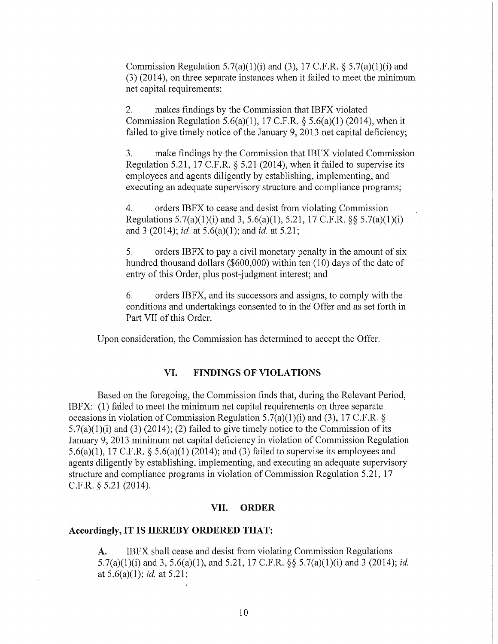Commission Regulation 5.7(a)(1)(i) and (3), 17 C.F.R.  $\S$  5.7(a)(1)(i) and (3) (2014), on three separate instances when it failed to meet the minimum net capital requirements;

2. makes findings by the Commission that IBFX violated Commission Regulation  $5.6(a)(1)$ , 17 C.F.R. §  $5.6(a)(1)$  (2014), when it failed to give timely notice of the January 9, 2013 net capital deficiency;

3. make findings by the Commission that IBFX violated Commission Regulation 5.21, 17 C.F.R. § 5.21 (2014), when it failed to supervise its employees and agents diligently by establishing, implementing, and executing an adequate supervisory structure and compliance programs;

4. orders IBFX to cease and desist from violating Commission Regulations  $5.7(a)(1)(i)$  and  $3, 5.6(a)(1), 5.21, 17 \text{ C.F.R. }$  §§  $5.7(a)(1)(i)$ and 3 (2014); *id.* at 5.6(a)(1); and *id.* at 5.21;

5. orders IBFX to pay a civil monetary penalty in the amount of six hundred thousand dollars (\$600,000) within ten  $(10)$  days of the date of entry of this Order, plus post-judgment interest; and

6. orders IBFX, and its successors and assigns, to comply with the conditions and undertakings consented to in the Offer and as set forth in Part VII of this Order.

Upon consideration, the Commission has determined to accept the Offer.

# **VI. FINDINGS OF VIOLATIONS**

Based on the foregoing, the Commission finds that, during the Relevant Period, IBFX: (1) failed to meet the minimum net capital requirements on three separate occasions in violation of Commission Regulation 5.7(a)(1)(i) and (3), 17 C.F.R. §  $5.7(a)(1)(i)$  and (3) (2014); (2) failed to give timely notice to the Commission of its January 9, 2013 minimum net capital deficiency in violation of Commission Regulation 5.6(a)(1), 17 C.F.R. § 5.6(a)(1) (2014); and (3) failed to supervise its employees and agents diligently by establishing, implementing, and executing an adequate supervisory structure and compliance programs in violation of Commission Regulation 5.21, 17 C.F.R. § 5.21 (2014).

# **VII. ORDER**

# **Accordingly, IT IS HEREBY ORDERED THAT:**

A. IBFX shall cease and desist from violating Commission Regulations 5.7(a)(l)(i) and 3, 5.6(a)(l), and 5.21, 17 C.F.R. §§ 5.7(a)(l)(i) and 3 (2014); *id.*  at 5.6(a)(1); *id.* at 5.21;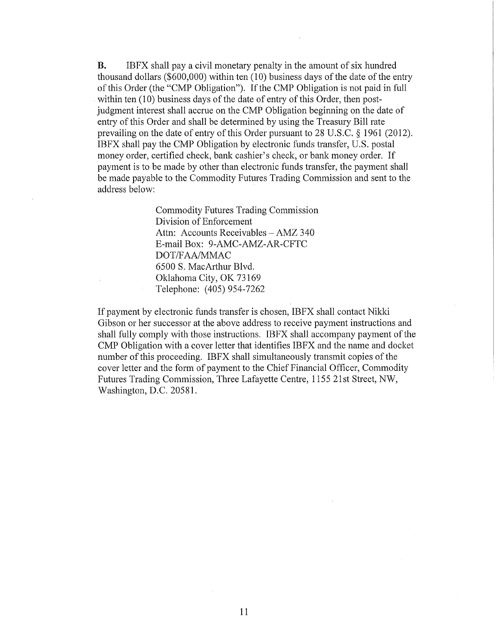B. IBFX shall pay a civil monetary penalty in the amount of six hundred thousand dollars ( $$600,000$ ) within ten (10) business days of the date of the entry of this Order (the "CMP Obligation"). If the CMP Obligation is not paid in full within ten (10) business days of the date of entry of this Order, then postjudgment interest shall accrue on the CMP Obligation beginning on the date of entry of this Order and shall be determined by using the Treasury Bill rate prevailing on the date of entry of this Order pursuant to 28 U.S.C. § 1961 (2012). IBFX shall pay the CMP Obligation by electronic funds transfer, U.S. postal money order, certified check, bank cashier's check, or bank money order. If payment is to be made by other than electronic funds transfer, the payment shall be made payable to the Commodity Futures Trading Commission and sent to the address below:

> Commodity Futures Trading Commission Division of Enforcement Attn: Accounts Receivables - AMZ 340 E-mail Box: 9-AMC-AMZ-AR-CFTC DOT/FAA/MMAC 6500 S. MacAtihur Blvd. Oklahoma City, OK 73169 Telephone: (405) 954-7262

If payment by electronic funds transfer is chosen, IBFX shall contact Nikki Gibson or her successor at the above address to receive payment instructions and shall fully comply with those instructions. IBFX shall accompany payment of the CMP Obligation with a cover letter that identifies IBFX and the name and docket number of this proceeding. IBFX shall simultaneously transmit copies of the cover letter and the form of payment to the Chief Financial Officer, Commodity Futures Trading Commission, Three Lafayette Centre, 1155 21st Street, NW, Washington, D.C. 20581.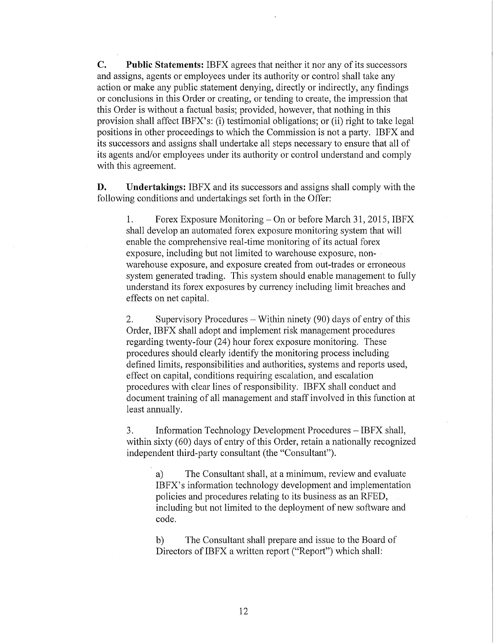**C. Public Statements:** IBFX agrees that neither it nor any of its successors and assigns, agents or employees under its authority or control shall take any action or make any public statement denying, directly or indirectly, any findings or conclusions in this Order or creating, or tending to create, the impression that this Order is without a factual basis; provided, however, that nothing in this provision shall affect IBFX's: (i) testimonial obligations; or (ii) right to take legal positions in other proceedings to which the Commission is not a party. IBFX and its successors and assigns shall undertake all steps necessary to ensure that all of its agents and/or employees under its authority or control understand and comply with this agreement.

**D. Undertakings:** IBFX and its successors and assigns shall comply with the following conditions and undertakings set forth in the Offer:

1. Forex Exposure Monitoring- On or before March 31, 2015, IBFX shall develop an automated forex exposure monitoring system that will enable the comprehensive real-time monitoring of its actual forex exposure, including but not limited to warehouse exposure, nonwarehouse exposure, and exposure created from out-trades or erroneous system generated trading. This system should enable management to fully understand its forex exposures by currency including limit breaches and effects on net capital.

2. Supervisory Procedures- Within ninety (90) days of entry of this Order, IBFX shall adopt and implement risk management procedures regarding twenty-four (24) hour forex exposure monitoring. These procedures should clearly identify the monitoring process including defined limits, responsibilities and authorities, systems and reports used, effect on capital, conditions requiring escalation, and escalation procedures with clear lines of responsibility. IBFX shall conduct and document training of all management and staff involved in this function at least annually.

3. Information Technology Development Procedures – IBFX shall, within sixty (60) days of entry of this Order, retain a nationally recognized independent third-party consultant (the "Consultant").

> a) The Consultant shall, at a minimum, review and evaluate IBFX's information technology development and implementation policies and procedures relating to its business as an RFED, including but not limited to the deployment of new software and code.

b) The Consultant shall prepare and issue to the Board of Directors of IBFX a written report ("Report") which shall: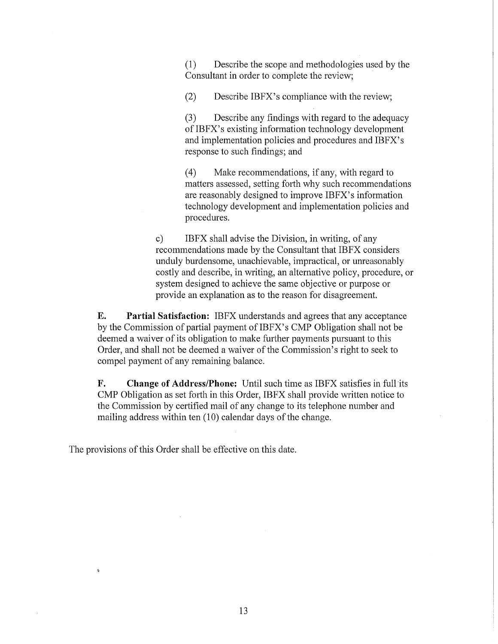(1) Describe the scope and methodologies used by the Consultant in order to complete the review;

(2) Describe IBFX's compliance with the review;

(3) Describe any findings with regard to the adequacy of IBFX' s existing information technology development and implementation policies and procedures and IBFX's response to such findings; and

( 4) Make recommendations, if any, with regard to matters assessed, setting forth why such recommendations are reasonably designed to improve IBFX's information technology development and implementation policies and procedures.

c) IBFX shall advise the Division, in writing, of any recommendations made by the Consultant that IBFX considers unduly burdensome, unachievable, impractical, or unreasonably costly and describe, in writing, an alternative policy, procedure, or system designed to achieve the same objective or purpose or provide an explanation as to the reason for disagreement.

**E. Partial Satisfaction:** IBFX understands and agrees that any acceptance by the Commission of partial payment of IBFX's CMP Obligation shall not be deemed a waiver of its obligation to make further payments pursuant to this Order, and shall not be deemed a waiver of the Commission's right to seek to compel payment of any remaining balance.

**F. Change of Address/Phone:** Until such time as IBFX satisfies in full its CMP Obligation as set forth in this Order, IBFX shall provide written notice to the Commission by certified mail of any change to its telephone number and mailing address within ten  $(10)$  calendar days of the change.

The provisions of this Order shall be effective on this date.